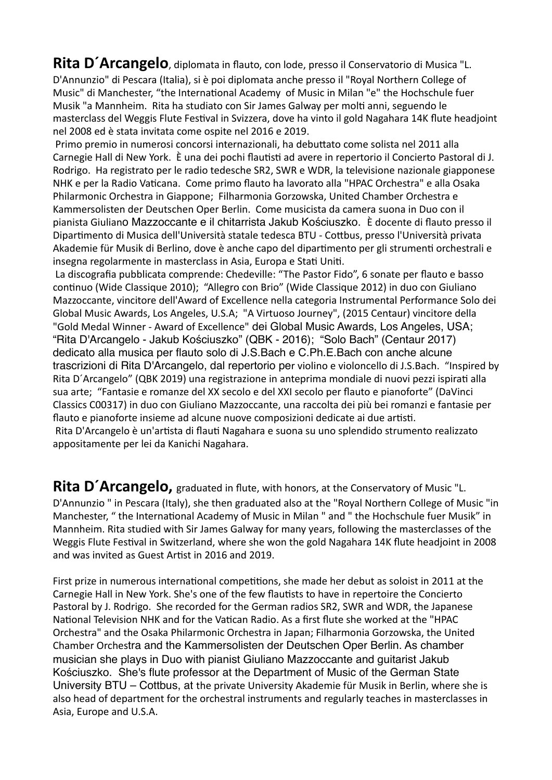**Rita D'Arcangelo**, diplomata in flauto, con lode, presso il Conservatorio di Musica "L. D'Annunzio" di Pescara (Italia), si è poi diplomata anche presso il "Royal Northern College of Music" di Manchester, "the International Academy of Music in Milan "e" the Hochschule fuer Musik "a Mannheim. Rita ha studiato con Sir James Galway per molti anni, seguendo le masterclass del Weggis Flute Festival in Svizzera, dove ha vinto il gold Nagahara 14K flute headjoint nel 2008 ed è stata invitata come ospite nel 2016 e 2019.

Primo premio in numerosi concorsi internazionali, ha debuttato come solista nel 2011 alla Carnegie Hall di New York. È una dei pochi flautisti ad avere in repertorio il Concierto Pastoral di J. Rodrigo. Ha registrato per le radio tedesche SR2, SWR e WDR, la televisione nazionale giapponese NHK e per la Radio Vaticana. Come primo flauto ha lavorato alla "HPAC Orchestra" e alla Osaka Philarmonic Orchestra in Giappone; Filharmonia Gorzowska, United Chamber Orchestra e Kammersolisten der Deutschen Oper Berlin. Come musicista da camera suona in Duo con il pianista Giuliano Mazzoccante e il chitarrista Jakub Kościuszko. È docente di flauto presso il Dipartimento di Musica dell'Università statale tedesca BTU - Cottbus, presso l'Università privata Akademie für Musik di Berlino, dove è anche capo del dipartimento per gli strumenti orchestrali e insegna regolarmente in masterclass in Asia, Europa e Stati Uniti.

La discografia pubblicata comprende: Chedeville: "The Pastor Fido", 6 sonate per flauto e basso continuo (Wide Classique 2010); "Allegro con Brio" (Wide Classique 2012) in duo con Giuliano Mazzoccante, vincitore dell'Award of Excellence nella categoria Instrumental Performance Solo dei Global Music Awards, Los Angeles, U.S.A; "A Virtuoso Journey", (2015 Centaur) vincitore della "Gold Medal Winner - Award of Excellence" dei Global Music Awards, Los Angeles, USA; "Rita D'Arcangelo - Jakub Kościuszko" (QBK - 2016); "Solo Bach" (Centaur 2017) dedicato alla musica per flauto solo di J.S.Bach e C.Ph.E.Bach con anche alcune trascrizioni di Rita D'Arcangelo, dal repertorio per violino e violoncello di J.S.Bach. "Inspired by Rita D´Arcangelo" (QBK 2019) una registrazione in anteprima mondiale di nuovi pezzi ispirati alla sua arte; "Fantasie e romanze del XX secolo e del XXI secolo per flauto e pianoforte" (DaVinci Classics C00317) in duo con Giuliano Mazzoccante, una raccolta dei più bei romanzi e fantasie per flauto e pianoforte insieme ad alcune nuove composizioni dedicate ai due artisti. Rita D'Arcangelo è un'artista di flauti Nagahara e suona su uno splendido strumento realizzato

appositamente per lei da Kanichi Nagahara.

Rita D'Arcangelo, graduated in flute, with honors, at the Conservatory of Music "L. D'Annunzio " in Pescara (Italy), she then graduated also at the "Royal Northern College of Music "in Manchester, " the International Academy of Music in Milan " and " the Hochschule fuer Musik" in Mannheim. Rita studied with Sir James Galway for many years, following the masterclasses of the Weggis Flute Festival in Switzerland, where she won the gold Nagahara 14K flute headjoint in 2008 and was invited as Guest Artist in 2016 and 2019.

First prize in numerous international competitions, she made her debut as soloist in 2011 at the Carnegie Hall in New York. She's one of the few flautists to have in repertoire the Concierto Pastoral by J. Rodrigo. She recorded for the German radios SR2, SWR and WDR, the Japanese National Television NHK and for the Vatican Radio. As a first flute she worked at the "HPAC Orchestra" and the Osaka Philarmonic Orchestra in Japan; Filharmonia Gorzowska, the United Chamber Orchestra and the Kammersolisten der Deutschen Oper Berlin. As chamber musician she plays in Duo with pianist Giuliano Mazzoccante and guitarist Jakub Kościuszko. She's flute professor at the Department of Music of the German State University BTU – Cottbus, at the private University Akademie für Musik in Berlin, where she is also head of department for the orchestral instruments and regularly teaches in masterclasses in Asia, Europe and U.S.A.